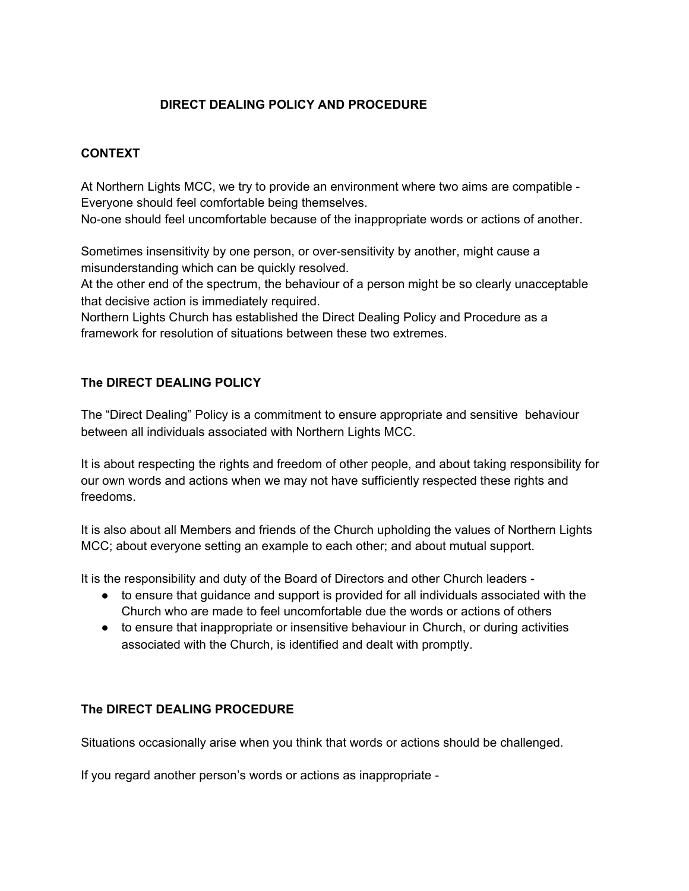## **DIRECT DEALING POLICY AND PROCEDURE**

## **CONTEXT**

At Northern Lights MCC, we try to provide an environment where two aims are compatible - Everyone should feel comfortable being themselves.

No-one should feel uncomfortable because of the inappropriate words or actions of another.

Sometimes insensitivity by one person, or over-sensitivity by another, might cause a misunderstanding which can be quickly resolved.

At the other end of the spectrum, the behaviour of a person might be so clearly unacceptable that decisive action is immediately required.

Northern Lights Church has established the Direct Dealing Policy and Procedure as a framework for resolution of situations between these two extremes.

## **The DIRECT DEALING POLICY**

The "Direct Dealing" Policy is a commitment to ensure appropriate and sensitive behaviour between all individuals associated with Northern Lights MCC.

It is about respecting the rights and freedom of other people, and about taking responsibility for our own words and actions when we may not have sufficiently respected these rights and freedoms.

It is also about all Members and friends of the Church upholding the values of Northern Lights MCC; about everyone setting an example to each other; and about mutual support.

It is the responsibility and duty of the Board of Directors and other Church leaders -

- to ensure that guidance and support is provided for all individuals associated with the Church who are made to feel uncomfortable due the words or actions of others
- to ensure that inappropriate or insensitive behaviour in Church, or during activities associated with the Church, is identified and dealt with promptly.

### **The DIRECT DEALING PROCEDURE**

Situations occasionally arise when you think that words or actions should be challenged.

If you regard another person's words or actions as inappropriate -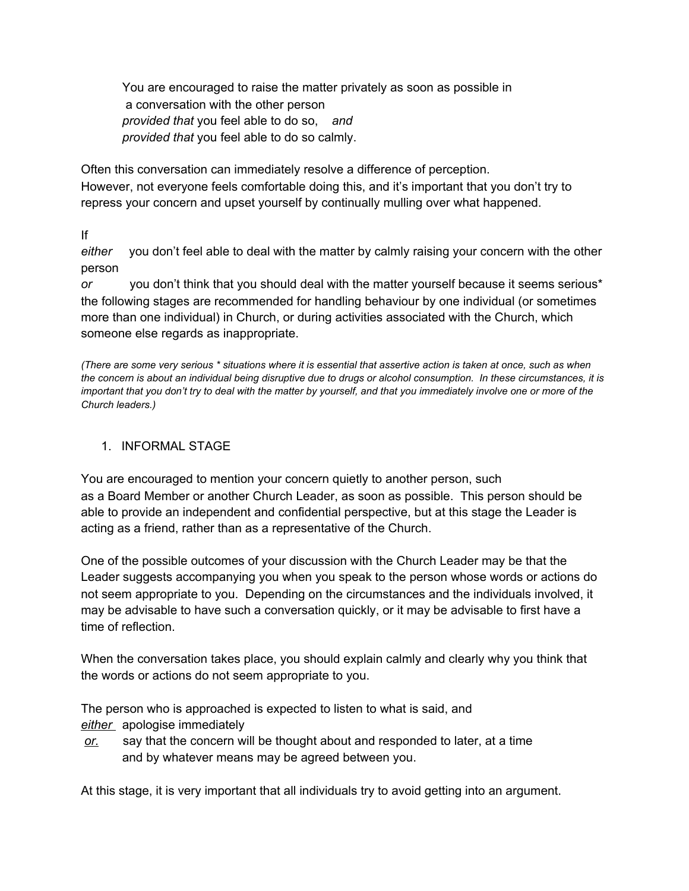You are encouraged to raise the matter privately as soon as possible in a conversation with the other person *provided that* you feel able to do so, *and provided that* you feel able to do so calmly.

Often this conversation can immediately resolve a difference of perception. However, not everyone feels comfortable doing this, and it's important that you don't try to repress your concern and upset yourself by continually mulling over what happened.

If

*either* you don't feel able to deal with the matter by calmly raising your concern with the other person

*or* you don't think that you should deal with the matter yourself because it seems serious\* the following stages are recommended for handling behaviour by one individual (or sometimes more than one individual) in Church, or during activities associated with the Church, which someone else regards as inappropriate.

*(There are some very serious \* situations where it is essential that assertive action is taken at once, such as when the concern is about an individual being disruptive due to drugs or alcohol consumption. In these circumstances, it is important that you don't try to deal with the matter by yourself, and that you immediately involve one or more of the Church leaders.)*

## 1. INFORMAL STAGE

You are encouraged to mention your concern quietly to another person, such as a Board Member or another Church Leader, as soon as possible. This person should be able to provide an independent and confidential perspective, but at this stage the Leader is acting as a friend, rather than as a representative of the Church.

One of the possible outcomes of your discussion with the Church Leader may be that the Leader suggests accompanying you when you speak to the person whose words or actions do not seem appropriate to you. Depending on the circumstances and the individuals involved, it may be advisable to have such a conversation quickly, or it may be advisable to first have a time of reflection.

When the conversation takes place, you should explain calmly and clearly why you think that the words or actions do not seem appropriate to you.

The person who is approached is expected to listen to what is said, and *either* apologise immediately

*or.* say that the concern will be thought about and responded to later, at a time and by whatever means may be agreed between you.

At this stage, it is very important that all individuals try to avoid getting into an argument.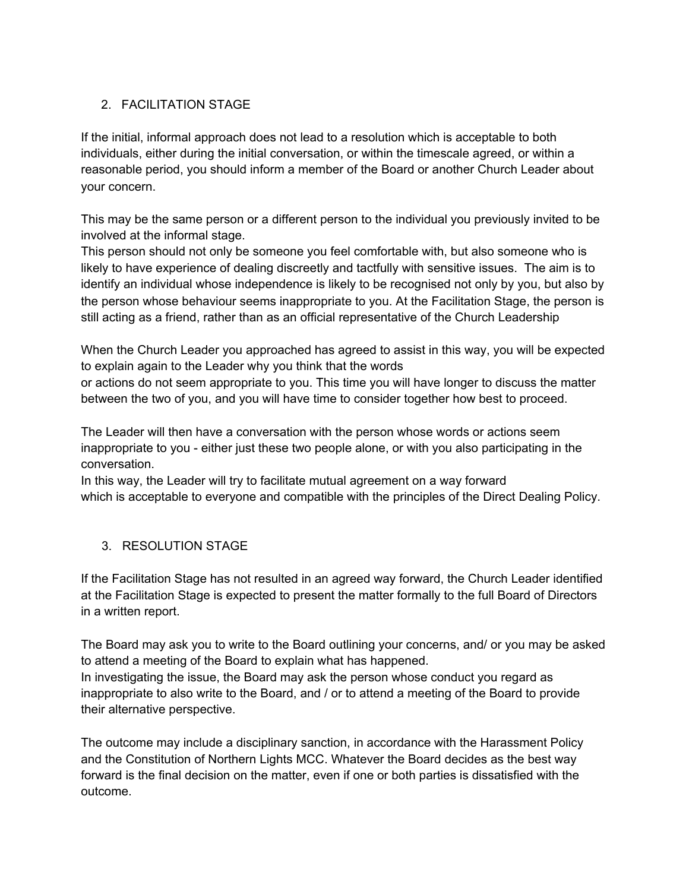# 2. FACILITATION STAGE

If the initial, informal approach does not lead to a resolution which is acceptable to both individuals, either during the initial conversation, or within the timescale agreed, or within a reasonable period, you should inform a member of the Board or another Church Leader about your concern.

This may be the same person or a different person to the individual you previously invited to be involved at the informal stage.

This person should not only be someone you feel comfortable with, but also someone who is likely to have experience of dealing discreetly and tactfully with sensitive issues. The aim is to identify an individual whose independence is likely to be recognised not only by you, but also by the person whose behaviour seems inappropriate to you. At the Facilitation Stage, the person is still acting as a friend, rather than as an official representative of the Church Leadership

When the Church Leader you approached has agreed to assist in this way, you will be expected to explain again to the Leader why you think that the words

or actions do not seem appropriate to you. This time you will have longer to discuss the matter between the two of you, and you will have time to consider together how best to proceed.

The Leader will then have a conversation with the person whose words or actions seem inappropriate to you - either just these two people alone, or with you also participating in the conversation.

In this way, the Leader will try to facilitate mutual agreement on a way forward which is acceptable to everyone and compatible with the principles of the Direct Dealing Policy.

# 3. RESOLUTION STAGE

If the Facilitation Stage has not resulted in an agreed way forward, the Church Leader identified at the Facilitation Stage is expected to present the matter formally to the full Board of Directors in a written report.

The Board may ask you to write to the Board outlining your concerns, and/ or you may be asked to attend a meeting of the Board to explain what has happened.

In investigating the issue, the Board may ask the person whose conduct you regard as inappropriate to also write to the Board, and / or to attend a meeting of the Board to provide their alternative perspective.

The outcome may include a disciplinary sanction, in accordance with the Harassment Policy and the Constitution of Northern Lights MCC. Whatever the Board decides as the best way forward is the final decision on the matter, even if one or both parties is dissatisfied with the outcome.